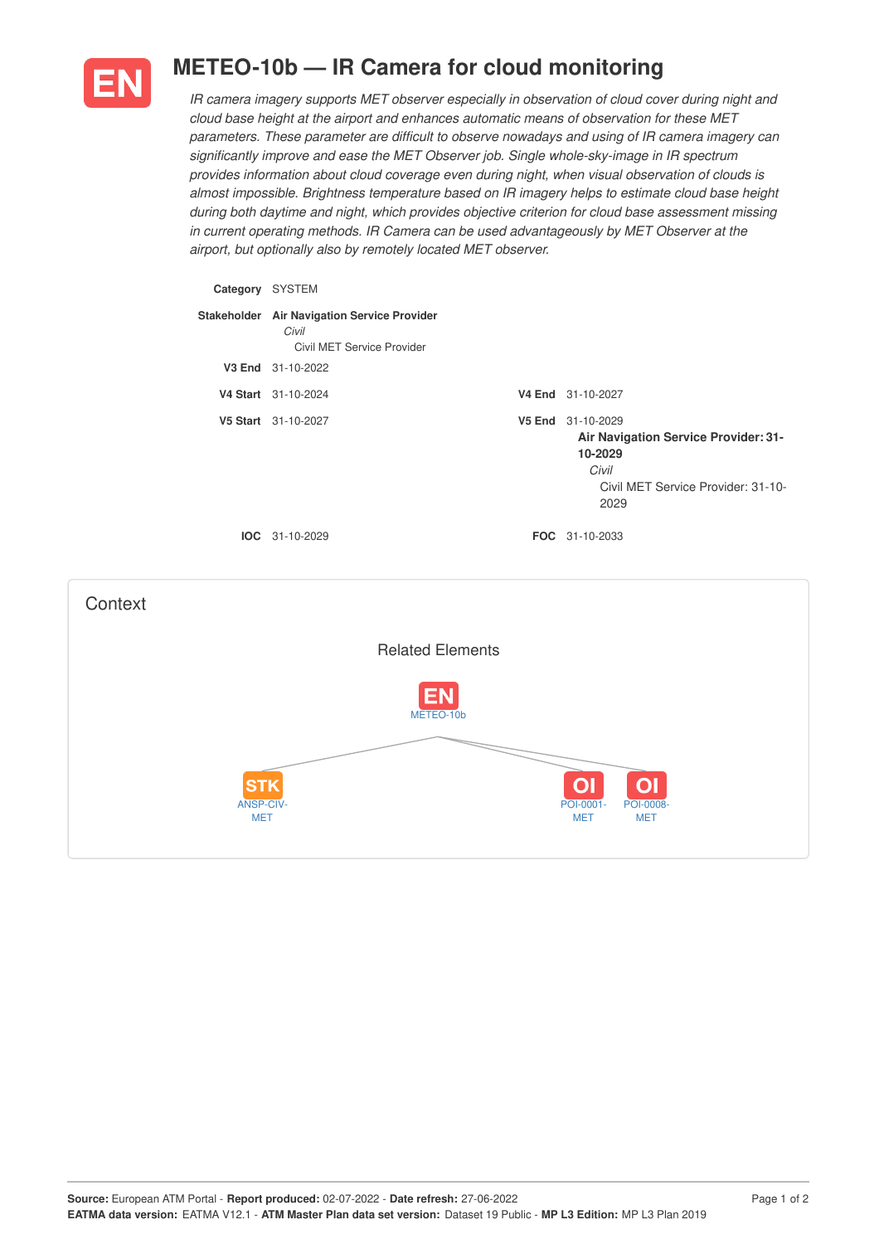

## **METEO-10b — IR Camera for cloud monitoring**

*IR camera imagery supports MET observer especially in observation of cloud cover during night and cloud base height at the airport and enhances automatic means of observation for these MET parameters. These parameter are difficult to observe nowadays and using of IR camera imagery can significantly improve and ease the MET Observer job. Single whole-sky-image in IR spectrum provides information about cloud coverage even during night, when visual observation of clouds is almost impossible. Brightness temperature based on IR imagery helps to estimate cloud base height during both daytime and night, which provides objective criterion for cloud base assessment missing in current operating methods. IR Camera can be used advantageously by MET Observer at the airport, but optionally also by remotely located MET observer.*

| Category SYSTEM                                                                                        |                                                                                    |  |                                                                                                                             |  |  |  |  |  |  |  |  |  |
|--------------------------------------------------------------------------------------------------------|------------------------------------------------------------------------------------|--|-----------------------------------------------------------------------------------------------------------------------------|--|--|--|--|--|--|--|--|--|
|                                                                                                        | Stakeholder Air Navigation Service Provider<br>Civil<br>Civil MET Service Provider |  |                                                                                                                             |  |  |  |  |  |  |  |  |  |
|                                                                                                        | V3 End 31-10-2022                                                                  |  |                                                                                                                             |  |  |  |  |  |  |  |  |  |
|                                                                                                        | V4 Start 31-10-2024                                                                |  | V4 End 31-10-2027                                                                                                           |  |  |  |  |  |  |  |  |  |
|                                                                                                        | V5 Start 31-10-2027                                                                |  | V5 End 31-10-2029<br>Air Navigation Service Provider: 31-<br>10-2029<br>Civil<br>Civil MET Service Provider: 31-10-<br>2029 |  |  |  |  |  |  |  |  |  |
|                                                                                                        | IOC 31-10-2029                                                                     |  | FOC 31-10-2033                                                                                                              |  |  |  |  |  |  |  |  |  |
| Context                                                                                                |                                                                                    |  |                                                                                                                             |  |  |  |  |  |  |  |  |  |
|                                                                                                        | <b>Related Elements</b>                                                            |  |                                                                                                                             |  |  |  |  |  |  |  |  |  |
| Ξ<br>METEO-10b                                                                                         |                                                                                    |  |                                                                                                                             |  |  |  |  |  |  |  |  |  |
| Ol<br>O<br>STI<br>ANSP-CIV-<br>POI-0001-<br><b>POI-0008-</b><br><b>MET</b><br><b>MET</b><br><b>MET</b> |                                                                                    |  |                                                                                                                             |  |  |  |  |  |  |  |  |  |